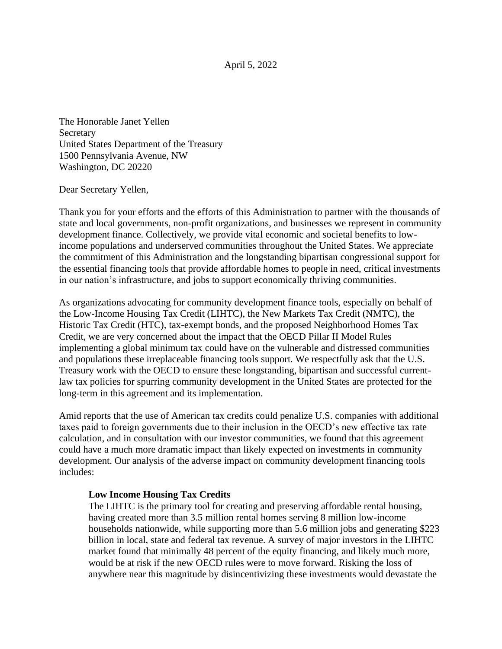April 5, 2022

The Honorable Janet Yellen **Secretary** United States Department of the Treasury 1500 Pennsylvania Avenue, NW Washington, DC 20220

Dear Secretary Yellen,

Thank you for your efforts and the efforts of this Administration to partner with the thousands of state and local governments, non-profit organizations, and businesses we represent in community development finance. Collectively, we provide vital economic and societal benefits to lowincome populations and underserved communities throughout the United States. We appreciate the commitment of this Administration and the longstanding bipartisan congressional support for the essential financing tools that provide affordable homes to people in need, critical investments in our nation's infrastructure, and jobs to support economically thriving communities.

As organizations advocating for community development finance tools, especially on behalf of the Low-Income Housing Tax Credit (LIHTC), the New Markets Tax Credit (NMTC), the Historic Tax Credit (HTC), tax-exempt bonds, and the proposed Neighborhood Homes Tax Credit, we are very concerned about the impact that the OECD Pillar II Model Rules implementing a global minimum tax could have on the vulnerable and distressed communities and populations these irreplaceable financing tools support. We respectfully ask that the U.S. Treasury work with the OECD to ensure these longstanding, bipartisan and successful currentlaw tax policies for spurring community development in the United States are protected for the long-term in this agreement and its implementation.

Amid reports that the use of American tax credits could penalize U.S. companies with additional taxes paid to foreign governments due to their inclusion in the OECD's new effective tax rate calculation, and in consultation with our investor communities, we found that this agreement could have a much more dramatic impact than likely expected on investments in community development. Our analysis of the adverse impact on community development financing tools includes:

## **Low Income Housing Tax Credits**

The LIHTC is the primary tool for creating and preserving affordable rental housing, having created more than 3.5 million rental homes serving 8 million low-income households nationwide, while supporting more than 5.6 million jobs and generating \$223 billion in local, state and federal tax revenue. A survey of major investors in the LIHTC market found that minimally 48 percent of the equity financing, and likely much more, would be at risk if the new OECD rules were to move forward. Risking the loss of anywhere near this magnitude by disincentivizing these investments would devastate the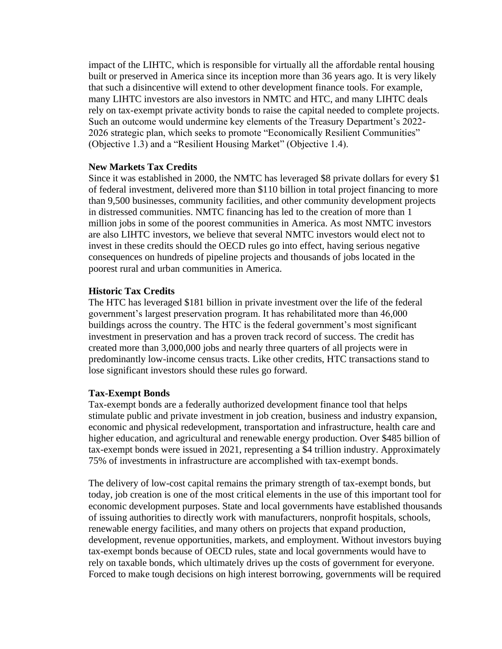impact of the LIHTC, which is responsible for virtually all the affordable rental housing built or preserved in America since its inception more than 36 years ago. It is very likely that such a disincentive will extend to other development finance tools. For example, many LIHTC investors are also investors in NMTC and HTC, and many LIHTC deals rely on tax-exempt private activity bonds to raise the capital needed to complete projects. Such an outcome would undermine key elements of the Treasury Department's 2022- 2026 strategic plan, which seeks to promote "Economically Resilient Communities" (Objective 1.3) and a "Resilient Housing Market" (Objective 1.4).

## **New Markets Tax Credits**

Since it was established in 2000, the NMTC has leveraged \$8 private dollars for every \$1 of federal investment, delivered more than \$110 billion in total project financing to more than 9,500 businesses, community facilities, and other community development projects in distressed communities. NMTC financing has led to the creation of more than 1 million jobs in some of the poorest communities in America. As most NMTC investors are also LIHTC investors, we believe that several NMTC investors would elect not to invest in these credits should the OECD rules go into effect, having serious negative consequences on hundreds of pipeline projects and thousands of jobs located in the poorest rural and urban communities in America.

## **Historic Tax Credits**

The HTC has leveraged \$181 billion in private investment over the life of the federal government's largest preservation program. It has rehabilitated more than 46,000 buildings across the country. The HTC is the federal government's most significant investment in preservation and has a proven track record of success. The credit has created more than 3,000,000 jobs and nearly three quarters of all projects were in predominantly low-income census tracts. Like other credits, HTC transactions stand to lose significant investors should these rules go forward.

## **Tax-Exempt Bonds**

Tax-exempt bonds are a federally authorized development finance tool that helps stimulate public and private investment in job creation, business and industry expansion, economic and physical redevelopment, transportation and infrastructure, health care and higher education, and agricultural and renewable energy production. Over \$485 billion of tax-exempt bonds were issued in 2021, representing a \$4 trillion industry. Approximately 75% of investments in infrastructure are accomplished with tax-exempt bonds.

The delivery of low-cost capital remains the primary strength of tax-exempt bonds, but today, job creation is one of the most critical elements in the use of this important tool for economic development purposes. State and local governments have established thousands of issuing authorities to directly work with manufacturers, nonprofit hospitals, schools, renewable energy facilities, and many others on projects that expand production, development, revenue opportunities, markets, and employment. Without investors buying tax-exempt bonds because of OECD rules, state and local governments would have to rely on taxable bonds, which ultimately drives up the costs of government for everyone. Forced to make tough decisions on high interest borrowing, governments will be required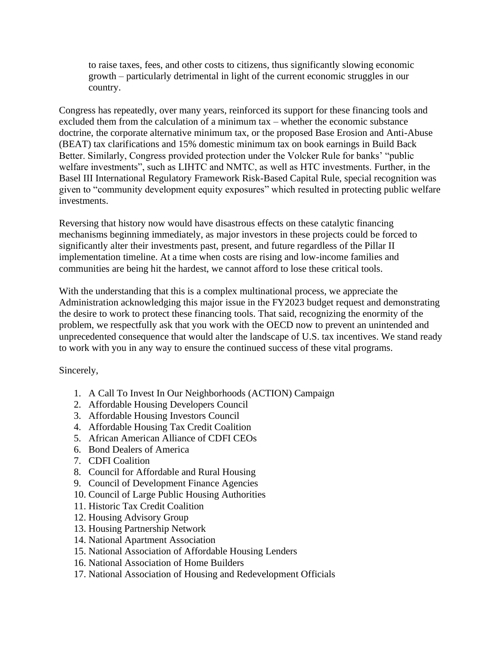to raise taxes, fees, and other costs to citizens, thus significantly slowing economic growth – particularly detrimental in light of the current economic struggles in our country.

Congress has repeatedly, over many years, reinforced its support for these financing tools and excluded them from the calculation of a minimum tax – whether the economic substance doctrine, the corporate alternative minimum tax, or the proposed Base Erosion and Anti-Abuse (BEAT) tax clarifications and 15% domestic minimum tax on book earnings in Build Back Better. Similarly, Congress provided protection under the Volcker Rule for banks' "public welfare investments", such as LIHTC and NMTC, as well as HTC investments. Further, in the Basel III International Regulatory Framework Risk-Based Capital Rule, special recognition was given to "community development equity exposures" which resulted in protecting public welfare investments.

Reversing that history now would have disastrous effects on these catalytic financing mechanisms beginning immediately, as major investors in these projects could be forced to significantly alter their investments past, present, and future regardless of the Pillar II implementation timeline. At a time when costs are rising and low-income families and communities are being hit the hardest, we cannot afford to lose these critical tools.

With the understanding that this is a complex multinational process, we appreciate the Administration acknowledging this major issue in the FY2023 budget request and demonstrating the desire to work to protect these financing tools. That said, recognizing the enormity of the problem, we respectfully ask that you work with the OECD now to prevent an unintended and unprecedented consequence that would alter the landscape of U.S. tax incentives. We stand ready to work with you in any way to ensure the continued success of these vital programs.

Sincerely,

- 1. A Call To Invest In Our Neighborhoods (ACTION) Campaign
- 2. Affordable Housing Developers Council
- 3. Affordable Housing Investors Council
- 4. Affordable Housing Tax Credit Coalition
- 5. African American Alliance of CDFI CEOs
- 6. Bond Dealers of America
- 7. CDFI Coalition
- 8. Council for Affordable and Rural Housing
- 9. Council of Development Finance Agencies
- 10. Council of Large Public Housing Authorities
- 11. Historic Tax Credit Coalition
- 12. Housing Advisory Group
- 13. Housing Partnership Network
- 14. National Apartment Association
- 15. National Association of Affordable Housing Lenders
- 16. National Association of Home Builders
- 17. National Association of Housing and Redevelopment Officials